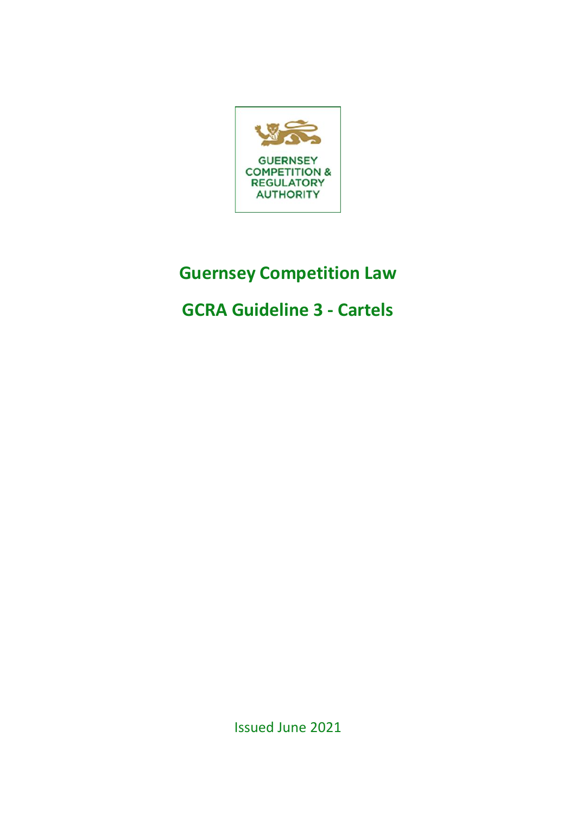

# **Guernsey Competition Law**

# **GCRA Guideline 3 - Cartels**

Issued June 2021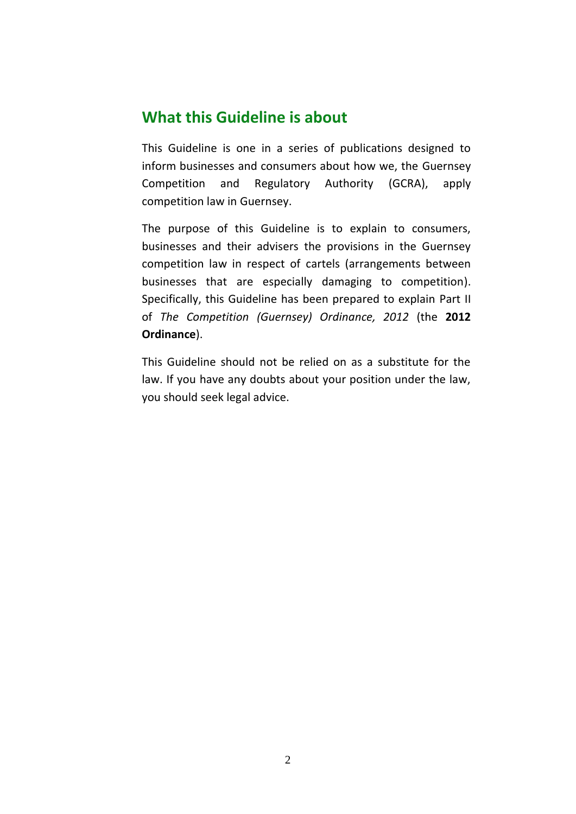### **What this Guideline is about**

This Guideline is one in a series of publications designed to inform businesses and consumers about how we, the Guernsey Competition and Regulatory Authority (GCRA), apply competition law in Guernsey.

The purpose of this Guideline is to explain to consumers, businesses and their advisers the provisions in the Guernsey competition law in respect of cartels (arrangements between businesses that are especially damaging to competition). Specifically, this Guideline has been prepared to explain Part II of *The Competition (Guernsey) Ordinance, 2012* (the **2012 Ordinance**).

This Guideline should not be relied on as a substitute for the law. If you have any doubts about your position under the law, you should seek legal advice.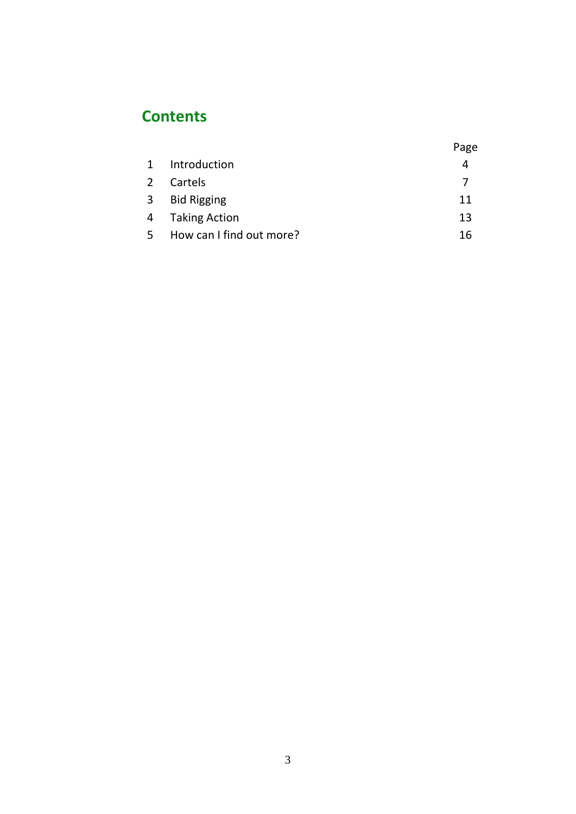# **Contents**

|              |                          | Page |
|--------------|--------------------------|------|
| 1            | Introduction             | 4    |
| 2            | Cartels                  | 7    |
| $\mathbf{3}$ | <b>Bid Rigging</b>       | 11   |
| 4            | <b>Taking Action</b>     | 13   |
| 5            | How can I find out more? | 16   |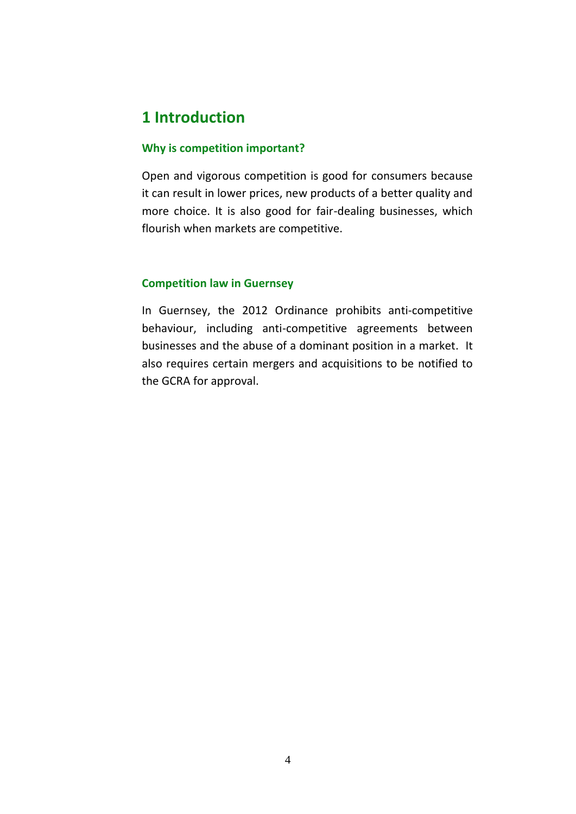## **1 Introduction**

### **Why is competition important?**

Open and vigorous competition is good for consumers because it can result in lower prices, new products of a better quality and more choice. It is also good for fair-dealing businesses, which flourish when markets are competitive.

### **Competition law in Guernsey**

In Guernsey, the 2012 Ordinance prohibits anti-competitive behaviour, including anti-competitive agreements between businesses and the abuse of a dominant position in a market. It also requires certain mergers and acquisitions to be notified to the GCRA for approval.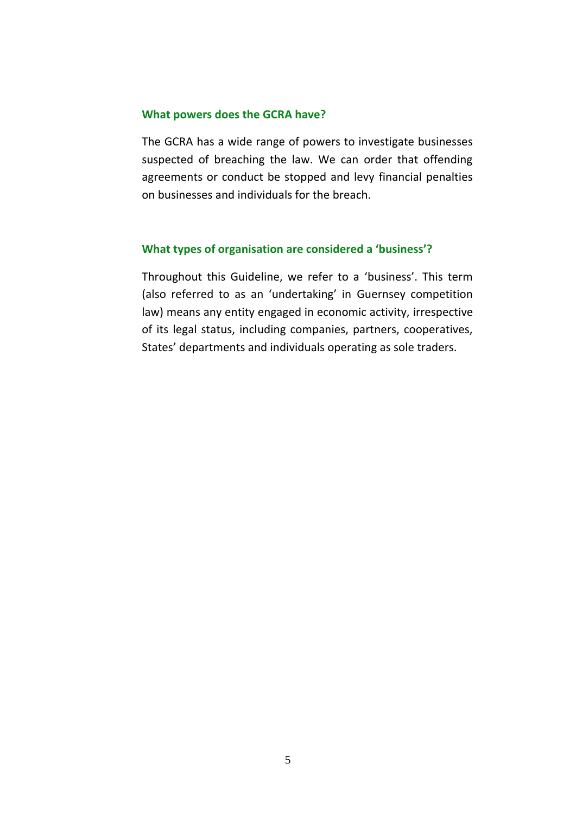### **What powers does the GCRA have?**

The GCRA has a wide range of powers to investigate businesses suspected of breaching the law. We can order that offending agreements or conduct be stopped and levy financial penalties on businesses and individuals for the breach.

### **What types of organisation are considered a 'business'?**

Throughout this Guideline, we refer to a 'business'. This term (also referred to as an 'undertaking' in Guernsey competition law) means any entity engaged in economic activity, irrespective of its legal status, including companies, partners, cooperatives, States' departments and individuals operating as sole traders.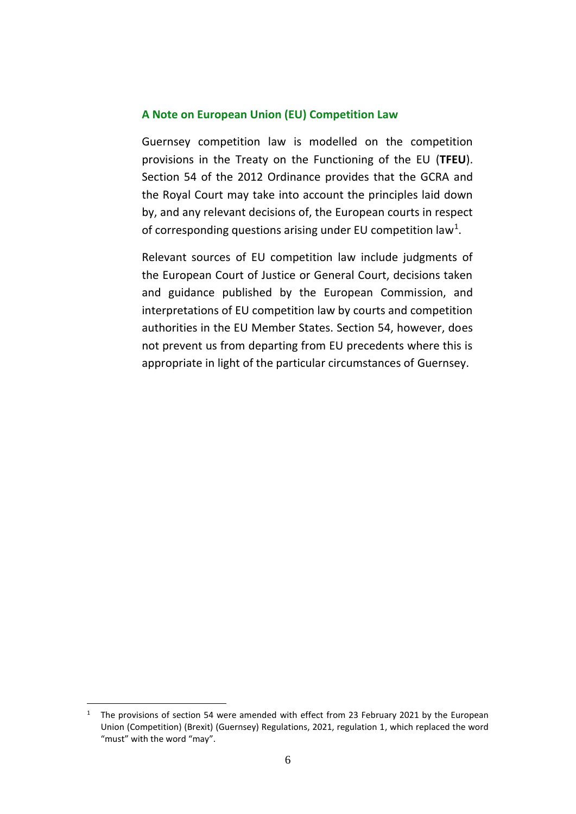#### **A Note on European Union (EU) Competition Law**

Guernsey competition law is modelled on the competition provisions in the Treaty on the Functioning of the EU (**TFEU**). Section 54 of the 2012 Ordinance provides that the GCRA and the Royal Court may take into account the principles laid down by, and any relevant decisions of, the European courts in respect of corresponding questions arising under EU competition law<sup>1</sup>.

Relevant sources of EU competition law include judgments of the European Court of Justice or General Court, decisions taken and guidance published by the European Commission, and interpretations of EU competition law by courts and competition authorities in the EU Member States. Section 54, however, does not prevent us from departing from EU precedents where this is appropriate in light of the particular circumstances of Guernsey.

<sup>&</sup>lt;sup>1</sup> The provisions of section 54 were amended with effect from 23 February 2021 by the European Union (Competition) (Brexit) (Guernsey) Regulations, 2021, regulation 1, which replaced the word "must" with the word "may".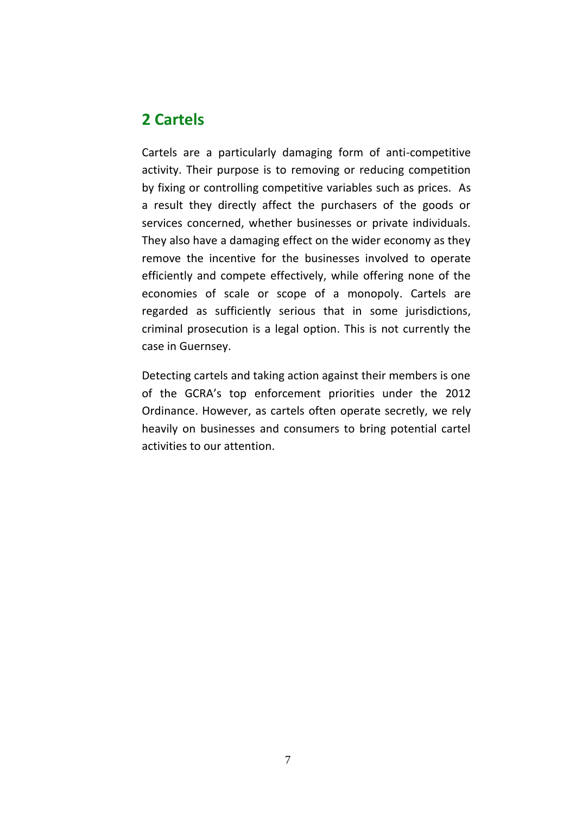### **2 Cartels**

Cartels are a particularly damaging form of anti-competitive activity. Their purpose is to removing or reducing competition by fixing or controlling competitive variables such as prices. As a result they directly affect the purchasers of the goods or services concerned, whether businesses or private individuals. They also have a damaging effect on the wider economy as they remove the incentive for the businesses involved to operate efficiently and compete effectively, while offering none of the economies of scale or scope of a monopoly. Cartels are regarded as sufficiently serious that in some jurisdictions, criminal prosecution is a legal option. This is not currently the case in Guernsey.

Detecting cartels and taking action against their members is one of the GCRA's top enforcement priorities under the 2012 Ordinance. However, as cartels often operate secretly, we rely heavily on businesses and consumers to bring potential cartel activities to our attention.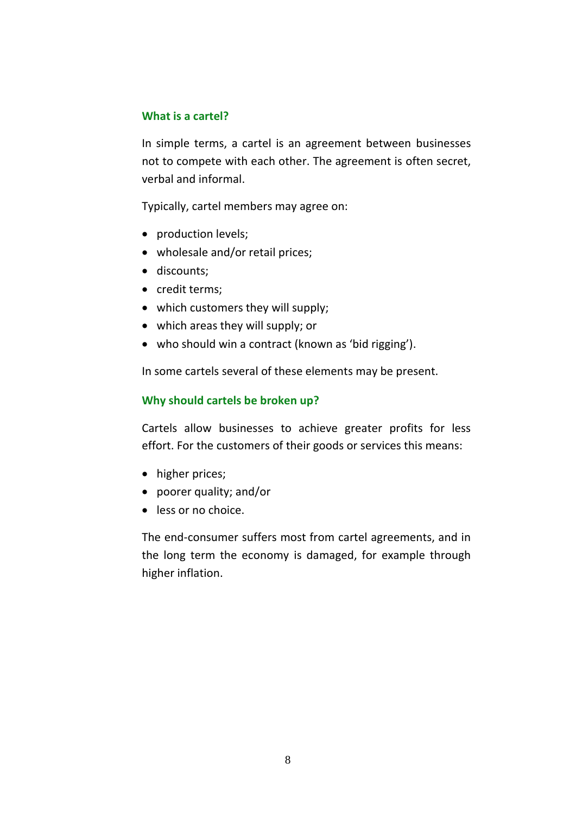### **What is a cartel?**

In simple terms, a cartel is an agreement between businesses not to compete with each other. The agreement is often secret, verbal and informal.

Typically, cartel members may agree on:

- production levels;
- wholesale and/or retail prices;
- discounts;
- credit terms;
- which customers they will supply;
- which areas they will supply; or
- who should win a contract (known as 'bid rigging').

In some cartels several of these elements may be present.

### **Why should cartels be broken up?**

Cartels allow businesses to achieve greater profits for less effort. For the customers of their goods or services this means:

- higher prices;
- poorer quality; and/or
- less or no choice.

The end-consumer suffers most from cartel agreements, and in the long term the economy is damaged, for example through higher inflation.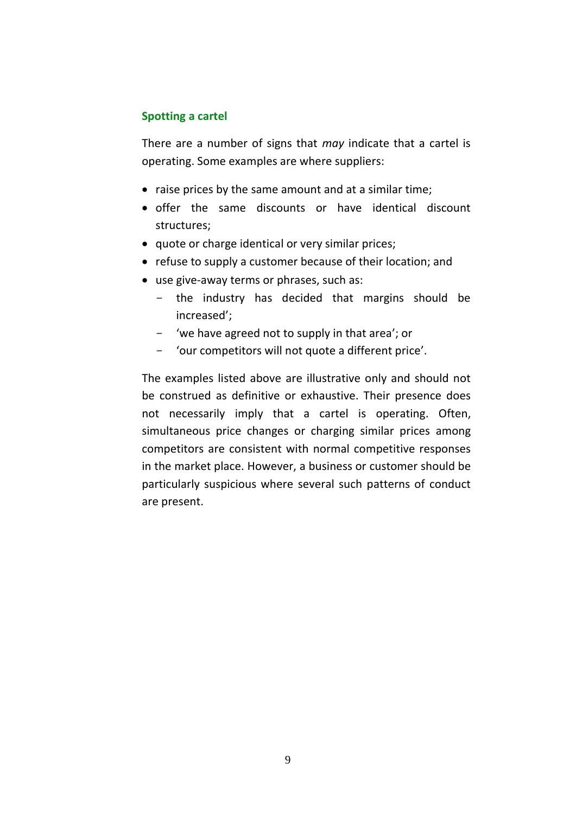### **Spotting a cartel**

There are a number of signs that *may* indicate that a cartel is operating. Some examples are where suppliers:

- raise prices by the same amount and at a similar time;
- offer the same discounts or have identical discount structures;
- quote or charge identical or very similar prices;
- refuse to supply a customer because of their location; and
- use give-away terms or phrases, such as:
	- the industry has decided that margins should be increased';
	- 'we have agreed not to supply in that area'; or
	- 'our competitors will not quote a different price'.

The examples listed above are illustrative only and should not be construed as definitive or exhaustive. Their presence does not necessarily imply that a cartel is operating. Often, simultaneous price changes or charging similar prices among competitors are consistent with normal competitive responses in the market place. However, a business or customer should be particularly suspicious where several such patterns of conduct are present.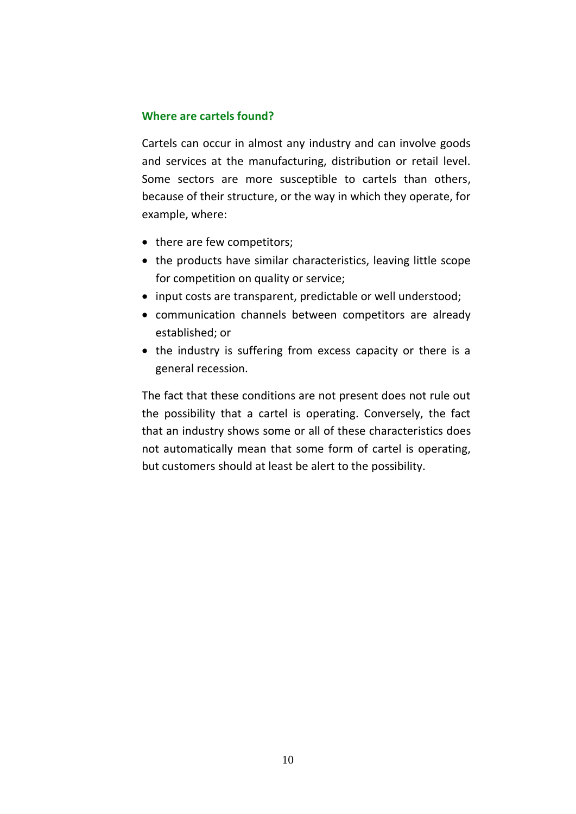### **Where are cartels found?**

Cartels can occur in almost any industry and can involve goods and services at the manufacturing, distribution or retail level. Some sectors are more susceptible to cartels than others, because of their structure, or the way in which they operate, for example, where:

- there are few competitors;
- the products have similar characteristics, leaving little scope for competition on quality or service;
- input costs are transparent, predictable or well understood;
- communication channels between competitors are already established; or
- the industry is suffering from excess capacity or there is a general recession.

The fact that these conditions are not present does not rule out the possibility that a cartel is operating. Conversely, the fact that an industry shows some or all of these characteristics does not automatically mean that some form of cartel is operating, but customers should at least be alert to the possibility.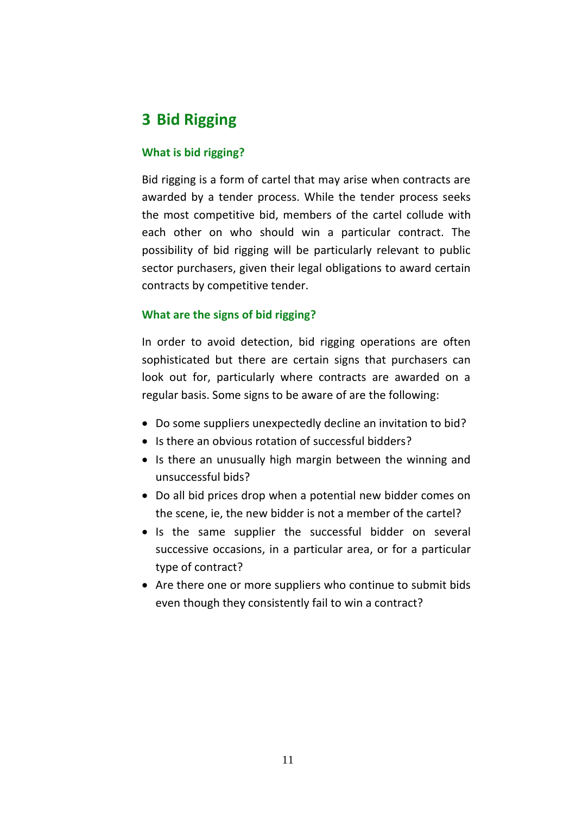# **3 Bid Rigging**

### **What is bid rigging?**

Bid rigging is a form of cartel that may arise when contracts are awarded by a tender process. While the tender process seeks the most competitive bid, members of the cartel collude with each other on who should win a particular contract. The possibility of bid rigging will be particularly relevant to public sector purchasers, given their legal obligations to award certain contracts by competitive tender.

### **What are the signs of bid rigging?**

In order to avoid detection, bid rigging operations are often sophisticated but there are certain signs that purchasers can look out for, particularly where contracts are awarded on a regular basis. Some signs to be aware of are the following:

- Do some suppliers unexpectedly decline an invitation to bid?
- Is there an obvious rotation of successful bidders?
- Is there an unusually high margin between the winning and unsuccessful bids?
- Do all bid prices drop when a potential new bidder comes on the scene, ie, the new bidder is not a member of the cartel?
- Is the same supplier the successful bidder on several successive occasions, in a particular area, or for a particular type of contract?
- Are there one or more suppliers who continue to submit bids even though they consistently fail to win a contract?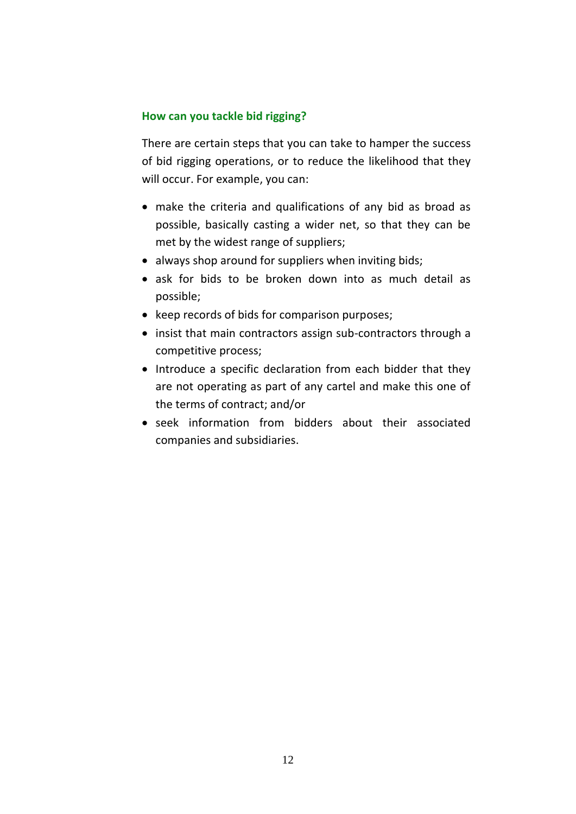### **How can you tackle bid rigging?**

There are certain steps that you can take to hamper the success of bid rigging operations, or to reduce the likelihood that they will occur. For example, you can:

- make the criteria and qualifications of any bid as broad as possible, basically casting a wider net, so that they can be met by the widest range of suppliers;
- always shop around for suppliers when inviting bids;
- ask for bids to be broken down into as much detail as possible;
- keep records of bids for comparison purposes;
- insist that main contractors assign sub-contractors through a competitive process;
- Introduce a specific declaration from each bidder that they are not operating as part of any cartel and make this one of the terms of contract; and/or
- seek information from bidders about their associated companies and subsidiaries.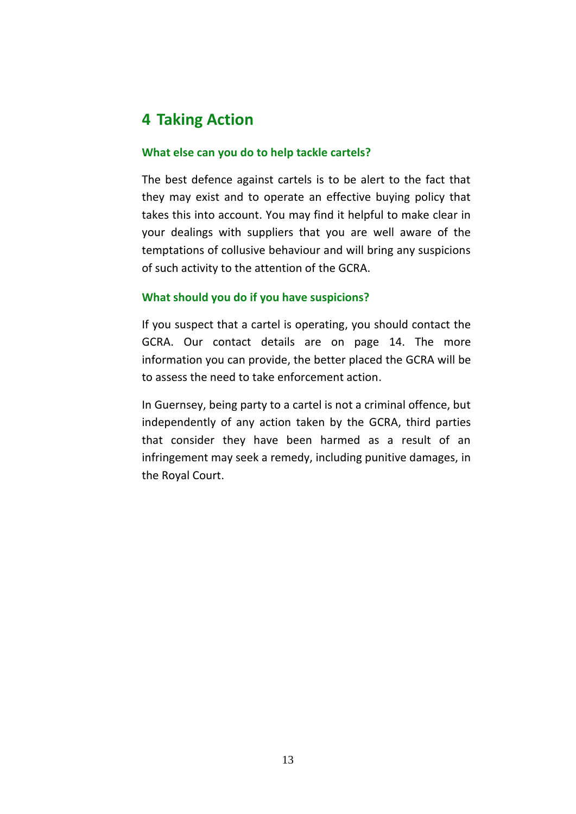# **4 Taking Action**

### **What else can you do to help tackle cartels?**

The best defence against cartels is to be alert to the fact that they may exist and to operate an effective buying policy that takes this into account. You may find it helpful to make clear in your dealings with suppliers that you are well aware of the temptations of collusive behaviour and will bring any suspicions of such activity to the attention of the GCRA.

### **What should you do if you have suspicions?**

If you suspect that a cartel is operating, you should contact the GCRA. Our contact details are on page 14. The more information you can provide, the better placed the GCRA will be to assess the need to take enforcement action.

In Guernsey, being party to a cartel is not a criminal offence, but independently of any action taken by the GCRA, third parties that consider they have been harmed as a result of an infringement may seek a remedy, including punitive damages, in the Royal Court.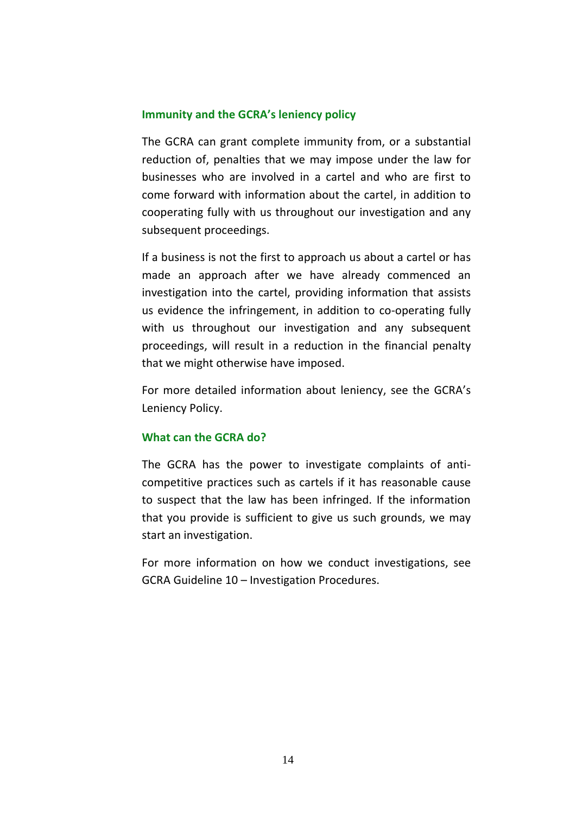### **Immunity and the GCRA's leniency policy**

The GCRA can grant complete immunity from, or a substantial reduction of, penalties that we may impose under the law for businesses who are involved in a cartel and who are first to come forward with information about the cartel, in addition to cooperating fully with us throughout our investigation and any subsequent proceedings.

If a business is not the first to approach us about a cartel or has made an approach after we have already commenced an investigation into the cartel, providing information that assists us evidence the infringement, in addition to co-operating fully with us throughout our investigation and any subsequent proceedings, will result in a reduction in the financial penalty that we might otherwise have imposed.

For more detailed information about leniency, see the GCRA's Leniency Policy.

### **What can the GCRA do?**

The GCRA has the power to investigate complaints of anticompetitive practices such as cartels if it has reasonable cause to suspect that the law has been infringed. If the information that you provide is sufficient to give us such grounds, we may start an investigation.

For more information on how we conduct investigations, see GCRA Guideline 10 – Investigation Procedures.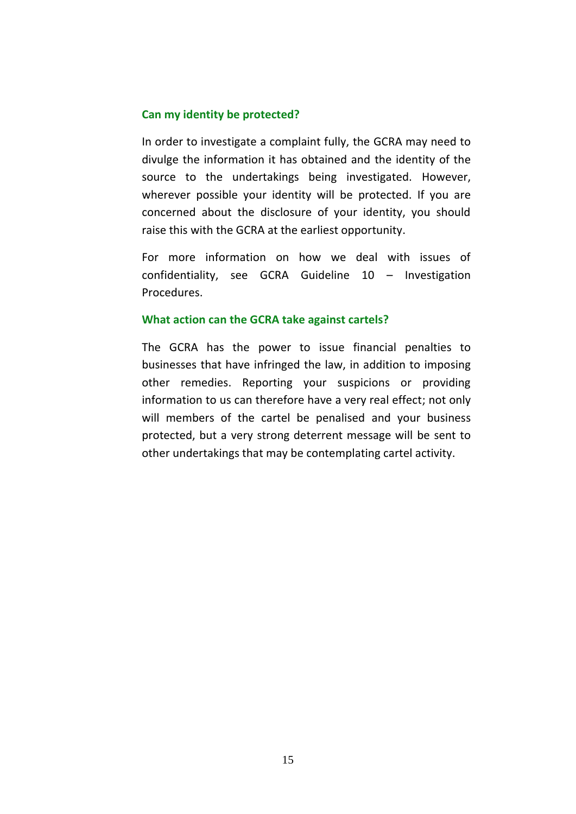### **Can my identity be protected?**

In order to investigate a complaint fully, the GCRA may need to divulge the information it has obtained and the identity of the source to the undertakings being investigated. However, wherever possible your identity will be protected. If you are concerned about the disclosure of your identity, you should raise this with the GCRA at the earliest opportunity.

For more information on how we deal with issues of confidentiality, see GCRA Guideline 10 – Investigation Procedures.

#### **What action can the GCRA take against cartels?**

The GCRA has the power to issue financial penalties to businesses that have infringed the law, in addition to imposing other remedies. Reporting your suspicions or providing information to us can therefore have a very real effect; not only will members of the cartel be penalised and your business protected, but a very strong deterrent message will be sent to other undertakings that may be contemplating cartel activity.